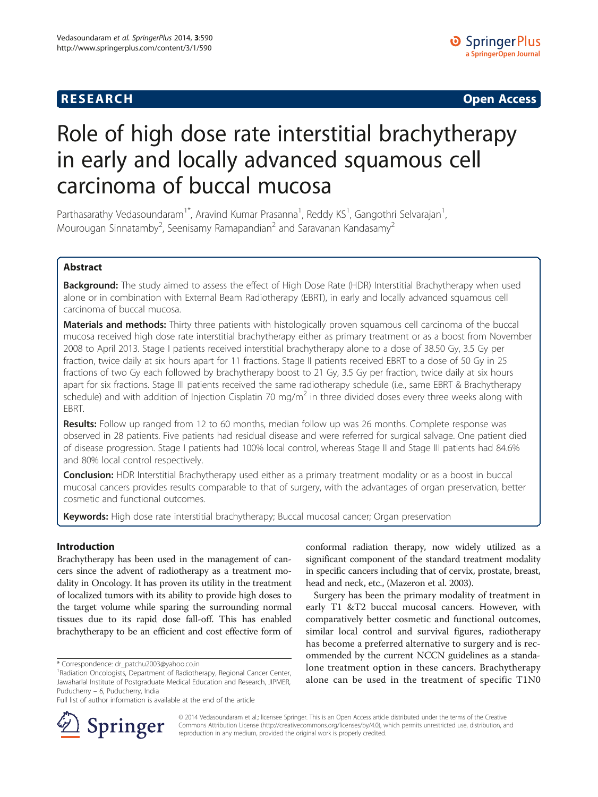# **RESEARCH CHINESE ARCH CHINESE ARCH CHINESE ARCH <b>CHINESE ARCH**

# Role of high dose rate interstitial brachytherapy in early and locally advanced squamous cell carcinoma of buccal mucosa

Parthasarathy Vedasoundaram<sup>1\*</sup>, Aravind Kumar Prasanna<sup>1</sup>, Reddy KS<sup>1</sup>, Gangothri Selvarajan<sup>1</sup> , Mourougan Sinnatamby<sup>2</sup>, Seenisamy Ramapandian<sup>2</sup> and Saravanan Kandasamy<sup>2</sup>

## Abstract

Background: The study aimed to assess the effect of High Dose Rate (HDR) Interstitial Brachytherapy when used alone or in combination with External Beam Radiotherapy (EBRT), in early and locally advanced squamous cell carcinoma of buccal mucosa.

Materials and methods: Thirty three patients with histologically proven squamous cell carcinoma of the buccal mucosa received high dose rate interstitial brachytherapy either as primary treatment or as a boost from November 2008 to April 2013. Stage I patients received interstitial brachytherapy alone to a dose of 38.50 Gy, 3.5 Gy per fraction, twice daily at six hours apart for 11 fractions. Stage II patients received EBRT to a dose of 50 Gy in 25 fractions of two Gy each followed by brachytherapy boost to 21 Gy, 3.5 Gy per fraction, twice daily at six hours apart for six fractions. Stage III patients received the same radiotherapy schedule (i.e., same EBRT & Brachytherapy schedule) and with addition of Injection Cisplatin 70 mg/m<sup>2</sup> in three divided doses every three weeks along with EBRT.

Results: Follow up ranged from 12 to 60 months, median follow up was 26 months. Complete response was observed in 28 patients. Five patients had residual disease and were referred for surgical salvage. One patient died of disease progression. Stage I patients had 100% local control, whereas Stage II and Stage III patients had 84.6% and 80% local control respectively.

**Conclusion:** HDR Interstitial Brachytherapy used either as a primary treatment modality or as a boost in buccal mucosal cancers provides results comparable to that of surgery, with the advantages of organ preservation, better cosmetic and functional outcomes.

Keywords: High dose rate interstitial brachytherapy; Buccal mucosal cancer; Organ preservation

## Introduction

Brachytherapy has been used in the management of cancers since the advent of radiotherapy as a treatment modality in Oncology. It has proven its utility in the treatment of localized tumors with its ability to provide high doses to the target volume while sparing the surrounding normal tissues due to its rapid dose fall-off. This has enabled brachytherapy to be an efficient and cost effective form of

\* Correspondence: [dr\\_patchu2003@yahoo.co.in](mailto:dr_patchu2003@yahoo.co.in) <sup>1</sup>

Full list of author information is available at the end of the article



conformal radiation therapy, now widely utilized as a significant component of the standard treatment modality in specific cancers including that of cervix, prostate, breast, head and neck, etc., (Mazeron et al. [2003\)](#page-7-0).

Surgery has been the primary modality of treatment in early T1 &T2 buccal mucosal cancers. However, with comparatively better cosmetic and functional outcomes, similar local control and survival figures, radiotherapy has become a preferred alternative to surgery and is recommended by the current NCCN guidelines as a standalone treatment option in these cancers. Brachytherapy alone can be used in the treatment of specific T1N0

© 2014 Vedasoundaram et al.; licensee Springer. This is an Open Access article distributed under the terms of the Creative Commons Attribution License (<http://creativecommons.org/licenses/by/4.0>), which permits unrestricted use, distribution, and reproduction in any medium, provided the original work is properly credited.

<sup>&</sup>lt;sup>1</sup> Radiation Oncologists, Department of Radiotherapy, Regional Cancer Center, Jawaharlal Institute of Postgraduate Medical Education and Research, JIPMER, Puducherry – 6, Puducherry, India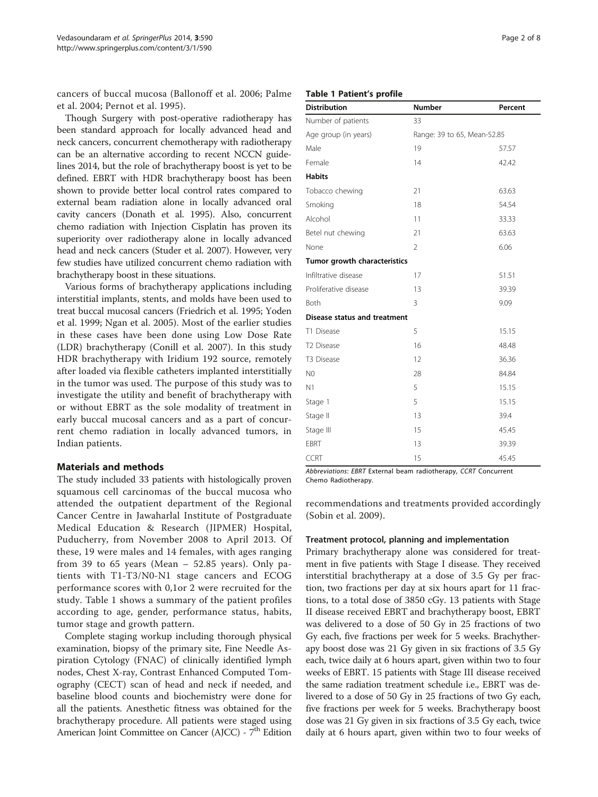<span id="page-1-0"></span>cancers of buccal mucosa (Ballonoff et al. [2006](#page-6-0); Palme et al. [2004;](#page-7-0) Pernot et al. [1995](#page-7-0)).

Though Surgery with post-operative radiotherapy has been standard approach for locally advanced head and neck cancers, concurrent chemotherapy with radiotherapy can be an alternative according to recent NCCN guidelines 2014, but the role of brachytherapy boost is yet to be defined. EBRT with HDR brachytherapy boost has been shown to provide better local control rates compared to external beam radiation alone in locally advanced oral cavity cancers (Donath et al. [1995\)](#page-6-0). Also, concurrent chemo radiation with Injection Cisplatin has proven its superiority over radiotherapy alone in locally advanced head and neck cancers (Studer et al. [2007](#page-7-0)). However, very few studies have utilized concurrent chemo radiation with brachytherapy boost in these situations.

Various forms of brachytherapy applications including interstitial implants, stents, and molds have been used to treat buccal mucosal cancers (Friedrich et al. [1995;](#page-6-0) Yoden et al. [1999;](#page-7-0) Ngan et al. [2005\)](#page-7-0). Most of the earlier studies in these cases have been done using Low Dose Rate (LDR) brachytherapy (Conill et al. [2007\)](#page-6-0). In this study HDR brachytherapy with Iridium 192 source, remotely after loaded via flexible catheters implanted interstitially in the tumor was used. The purpose of this study was to investigate the utility and benefit of brachytherapy with or without EBRT as the sole modality of treatment in early buccal mucosal cancers and as a part of concurrent chemo radiation in locally advanced tumors, in Indian patients.

#### Materials and methods

The study included 33 patients with histologically proven squamous cell carcinomas of the buccal mucosa who attended the outpatient department of the Regional Cancer Centre in Jawaharlal Institute of Postgraduate Medical Education & Research (JIPMER) Hospital, Puducherry, from November 2008 to April 2013. Of these, 19 were males and 14 females, with ages ranging from 39 to 65 years (Mean – 52.85 years). Only patients with T1-T3/N0-N1 stage cancers and ECOG performance scores with 0,1or 2 were recruited for the study. Table 1 shows a summary of the patient profiles according to age, gender, performance status, habits, tumor stage and growth pattern.

Complete staging workup including thorough physical examination, biopsy of the primary site, Fine Needle Aspiration Cytology (FNAC) of clinically identified lymph nodes, Chest X-ray, Contrast Enhanced Computed Tomography (CECT) scan of head and neck if needed, and baseline blood counts and biochemistry were done for all the patients. Anesthetic fitness was obtained for the brachytherapy procedure. All patients were staged using American Joint Committee on Cancer (AJCC) - 7<sup>th</sup> Edition

## Table 1 Patient's profile

| <b>Distribution</b>          | <b>Number</b>               | Percent |
|------------------------------|-----------------------------|---------|
| Number of patients           | 33                          |         |
| Age group (in years)         | Range: 39 to 65, Mean-52.85 |         |
| Male                         | 19                          | 57.57   |
| Female                       | 14                          | 42.42   |
| <b>Habits</b>                |                             |         |
| Tobacco chewing              | 21                          | 63.63   |
| Smoking                      | 18                          | 54.54   |
| Alcohol                      | 11                          | 33.33   |
| Betel nut chewing            | 21                          | 63.63   |
| None                         | $\overline{2}$              | 6.06    |
| Tumor growth characteristics |                             |         |
| Infiltrative disease         | 17                          | 51.51   |
| Proliferative disease        | 13                          | 39.39   |
| <b>Both</b>                  | 3                           | 9.09    |
| Disease status and treatment |                             |         |
| T1 Disease                   | 5                           | 15.15   |
| T <sub>2</sub> Disease       | 16                          | 48.48   |
| T3 Disease                   | 12                          | 36.36   |
| N <sub>0</sub>               | 28                          | 84.84   |
| N <sub>1</sub>               | 5                           | 15.15   |
| Stage 1                      | 5                           | 15.15   |
| Stage II                     | 13                          | 39.4    |
| Stage III                    | 15                          | 45.45   |
| <b>EBRT</b>                  | 13                          | 39.39   |
| <b>CCRT</b>                  | 15                          | 45.45   |

Abbreviations: EBRT External beam radiotherapy, CCRT Concurrent Chemo Radiotherapy.

recommendations and treatments provided accordingly (Sobin et al. [2009](#page-7-0)).

#### Treatment protocol, planning and implementation

Primary brachytherapy alone was considered for treatment in five patients with Stage I disease. They received interstitial brachytherapy at a dose of 3.5 Gy per fraction, two fractions per day at six hours apart for 11 fractions, to a total dose of 3850 cGy. 13 patients with Stage II disease received EBRT and brachytherapy boost, EBRT was delivered to a dose of 50 Gy in 25 fractions of two Gy each, five fractions per week for 5 weeks. Brachytherapy boost dose was 21 Gy given in six fractions of 3.5 Gy each, twice daily at 6 hours apart, given within two to four weeks of EBRT. 15 patients with Stage III disease received the same radiation treatment schedule i.e., EBRT was delivered to a dose of 50 Gy in 25 fractions of two Gy each, five fractions per week for 5 weeks. Brachytherapy boost dose was 21 Gy given in six fractions of 3.5 Gy each, twice daily at 6 hours apart, given within two to four weeks of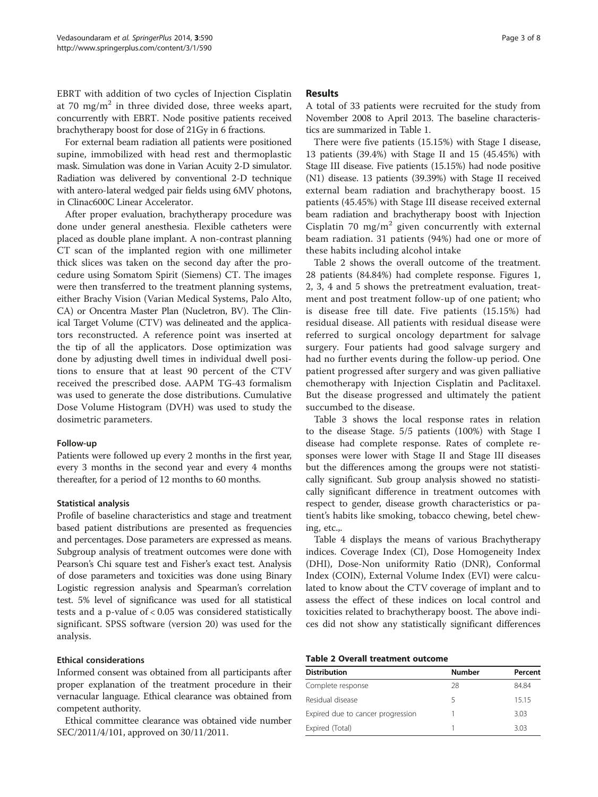EBRT with addition of two cycles of Injection Cisplatin at 70 mg/m<sup>2</sup> in three divided dose, three weeks apart, concurrently with EBRT. Node positive patients received brachytherapy boost for dose of 21Gy in 6 fractions.

For external beam radiation all patients were positioned supine, immobilized with head rest and thermoplastic mask. Simulation was done in Varian Acuity 2-D simulator. Radiation was delivered by conventional 2-D technique with antero-lateral wedged pair fields using 6MV photons, in Clinac600C Linear Accelerator.

After proper evaluation, brachytherapy procedure was done under general anesthesia. Flexible catheters were placed as double plane implant. A non-contrast planning CT scan of the implanted region with one millimeter thick slices was taken on the second day after the procedure using Somatom Spirit (Siemens) CT. The images were then transferred to the treatment planning systems, either Brachy Vision (Varian Medical Systems, Palo Alto, CA) or Oncentra Master Plan (Nucletron, BV). The Clinical Target Volume (CTV) was delineated and the applicators reconstructed. A reference point was inserted at the tip of all the applicators. Dose optimization was done by adjusting dwell times in individual dwell positions to ensure that at least 90 percent of the CTV received the prescribed dose. AAPM TG-43 formalism was used to generate the dose distributions. Cumulative Dose Volume Histogram (DVH) was used to study the dosimetric parameters.

#### Follow-up

Patients were followed up every 2 months in the first year, every 3 months in the second year and every 4 months thereafter, for a period of 12 months to 60 months.

## Statistical analysis

Profile of baseline characteristics and stage and treatment based patient distributions are presented as frequencies and percentages. Dose parameters are expressed as means. Subgroup analysis of treatment outcomes were done with Pearson's Chi square test and Fisher's exact test. Analysis of dose parameters and toxicities was done using Binary Logistic regression analysis and Spearman's correlation test. 5% level of significance was used for all statistical tests and a p-value of < 0.05 was considered statistically significant. SPSS software (version 20) was used for the analysis.

## Ethical considerations

Informed consent was obtained from all participants after proper explanation of the treatment procedure in their vernacular language. Ethical clearance was obtained from competent authority.

Ethical committee clearance was obtained vide number SEC/2011/4/101, approved on 30/11/2011.

## Results

A total of 33 patients were recruited for the study from November 2008 to April 2013. The baseline characteristics are summarized in Table [1](#page-1-0).

There were five patients (15.15%) with Stage I disease, 13 patients (39.4%) with Stage II and 15 (45.45%) with Stage III disease. Five patients (15.15%) had node positive (N1) disease. 13 patients (39.39%) with Stage II received external beam radiation and brachytherapy boost. 15 patients (45.45%) with Stage III disease received external beam radiation and brachytherapy boost with Injection Cisplatin 70 mg/m<sup>2</sup> given concurrently with external beam radiation. 31 patients (94%) had one or more of these habits including alcohol intake

Table 2 shows the overall outcome of the treatment. 28 patients (84.84%) had complete response. Figures [1](#page-3-0), [2,](#page-3-0) [3, 4](#page-4-0) and [5](#page-5-0) shows the pretreatment evaluation, treatment and post treatment follow-up of one patient; who is disease free till date. Five patients (15.15%) had residual disease. All patients with residual disease were referred to surgical oncology department for salvage surgery. Four patients had good salvage surgery and had no further events during the follow-up period. One patient progressed after surgery and was given palliative chemotherapy with Injection Cisplatin and Paclitaxel. But the disease progressed and ultimately the patient succumbed to the disease.

Table [3](#page-5-0) shows the local response rates in relation to the disease Stage. 5/5 patients (100%) with Stage I disease had complete response. Rates of complete responses were lower with Stage II and Stage III diseases but the differences among the groups were not statistically significant. Sub group analysis showed no statistically significant difference in treatment outcomes with respect to gender, disease growth characteristics or patient's habits like smoking, tobacco chewing, betel chewing, etc.,.

Table [4](#page-6-0) displays the means of various Brachytherapy indices. Coverage Index (CI), Dose Homogeneity Index (DHI), Dose-Non uniformity Ratio (DNR), Conformal Index (COIN), External Volume Index (EVI) were calculated to know about the CTV coverage of implant and to assess the effect of these indices on local control and toxicities related to brachytherapy boost. The above indices did not show any statistically significant differences

### Table 2 Overall treatment outcome

| <b>Distribution</b>               | <b>Number</b> | Percent |
|-----------------------------------|---------------|---------|
| Complete response                 | 28            | 84.84   |
| Residual disease                  | 5             | 1515    |
| Expired due to cancer progression |               | 3.03    |
| Expired (Total)                   |               | 3.03    |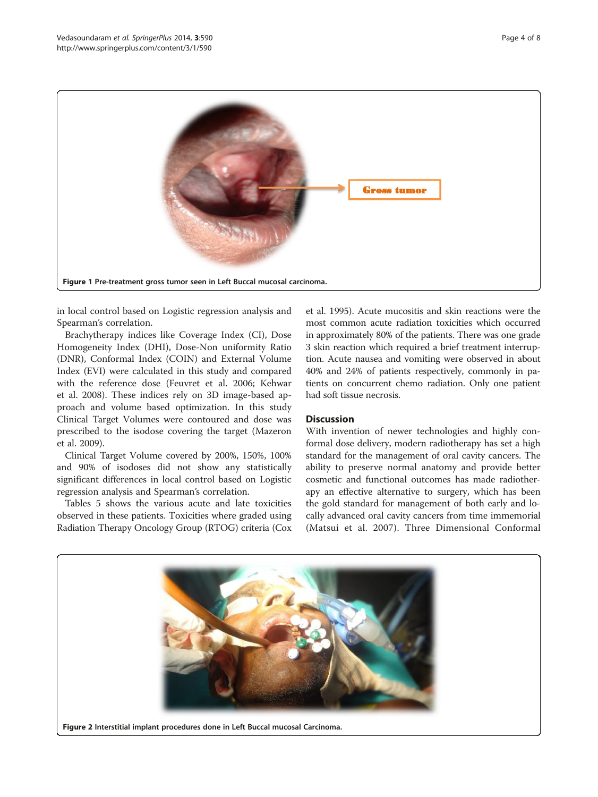<span id="page-3-0"></span>

in local control based on Logistic regression analysis and Spearman's correlation.

Brachytherapy indices like Coverage Index (CI), Dose Homogeneity Index (DHI), Dose-Non uniformity Ratio (DNR), Conformal Index (COIN) and External Volume Index (EVI) were calculated in this study and compared with the reference dose (Feuvret et al. [2006;](#page-6-0) Kehwar et al. [2008](#page-6-0)). These indices rely on 3D image-based approach and volume based optimization. In this study Clinical Target Volumes were contoured and dose was prescribed to the isodose covering the target (Mazeron et al. [2009\)](#page-7-0).

Clinical Target Volume covered by 200%, 150%, 100% and 90% of isodoses did not show any statistically significant differences in local control based on Logistic regression analysis and Spearman's correlation.

Tables [5](#page-6-0) shows the various acute and late toxicities observed in these patients. Toxicities where graded using Radiation Therapy Oncology Group (RTOG) criteria (Cox

et al. [1995](#page-6-0)). Acute mucositis and skin reactions were the most common acute radiation toxicities which occurred in approximately 80% of the patients. There was one grade 3 skin reaction which required a brief treatment interruption. Acute nausea and vomiting were observed in about 40% and 24% of patients respectively, commonly in patients on concurrent chemo radiation. Only one patient had soft tissue necrosis.

## **Discussion**

With invention of newer technologies and highly conformal dose delivery, modern radiotherapy has set a high standard for the management of oral cavity cancers. The ability to preserve normal anatomy and provide better cosmetic and functional outcomes has made radiotherapy an effective alternative to surgery, which has been the gold standard for management of both early and locally advanced oral cavity cancers from time immemorial (Matsui et al. [2007](#page-6-0)). Three Dimensional Conformal

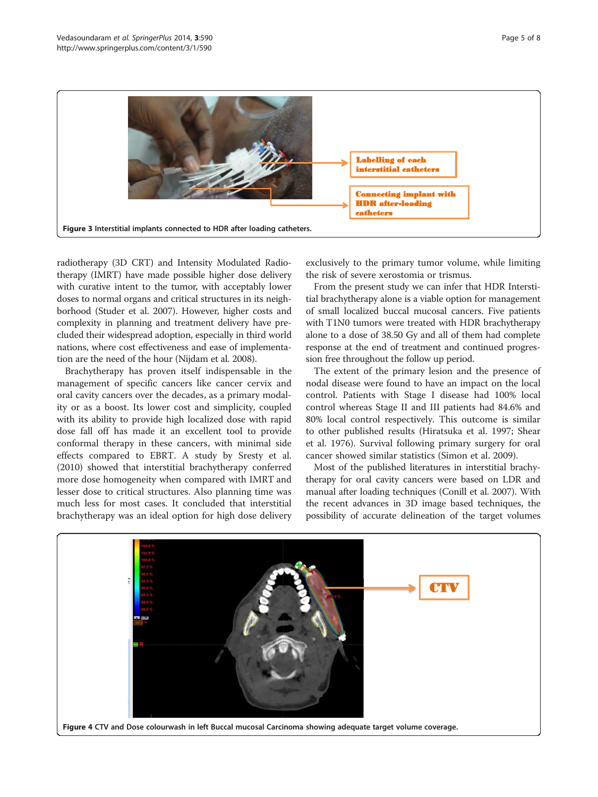<span id="page-4-0"></span>

radiotherapy (3D CRT) and Intensity Modulated Radiotherapy (IMRT) have made possible higher dose delivery with curative intent to the tumor, with acceptably lower doses to normal organs and critical structures in its neighborhood (Studer et al. [2007\)](#page-7-0). However, higher costs and complexity in planning and treatment delivery have precluded their widespread adoption, especially in third world nations, where cost effectiveness and ease of implementation are the need of the hour (Nijdam et al. [2008\)](#page-7-0).

Brachytherapy has proven itself indispensable in the management of specific cancers like cancer cervix and oral cavity cancers over the decades, as a primary modality or as a boost. Its lower cost and simplicity, coupled with its ability to provide high localized dose with rapid dose fall off has made it an excellent tool to provide conformal therapy in these cancers, with minimal side effects compared to EBRT. A study by Sresty et al. ([2010](#page-7-0)) showed that interstitial brachytherapy conferred more dose homogeneity when compared with IMRT and lesser dose to critical structures. Also planning time was much less for most cases. It concluded that interstitial brachytherapy was an ideal option for high dose delivery exclusively to the primary tumor volume, while limiting the risk of severe xerostomia or trismus.

From the present study we can infer that HDR Interstitial brachytherapy alone is a viable option for management of small localized buccal mucosal cancers. Five patients with T1N0 tumors were treated with HDR brachytherapy alone to a dose of 38.50 Gy and all of them had complete response at the end of treatment and continued progression free throughout the follow up period.

The extent of the primary lesion and the presence of nodal disease were found to have an impact on the local control. Patients with Stage I disease had 100% local control whereas Stage II and III patients had 84.6% and 80% local control respectively. This outcome is similar to other published results (Hiratsuka et al. [1997](#page-6-0); Shear et al. [1976](#page-7-0)). Survival following primary surgery for oral cancer showed similar statistics (Simon et al. [2009\)](#page-7-0).

Most of the published literatures in interstitial brachytherapy for oral cavity cancers were based on LDR and manual after loading techniques (Conill et al. [2007\)](#page-6-0). With the recent advances in 3D image based techniques, the possibility of accurate delineation of the target volumes

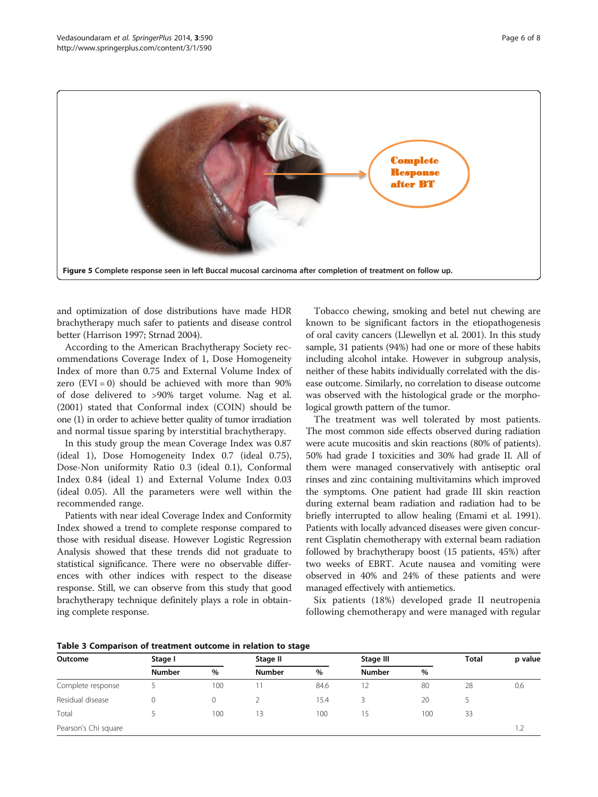<span id="page-5-0"></span>

and optimization of dose distributions have made HDR brachytherapy much safer to patients and disease control better (Harrison [1997](#page-6-0); Strnad [2004](#page-7-0)).

According to the American Brachytherapy Society recommendations Coverage Index of 1, Dose Homogeneity Index of more than 0.75 and External Volume Index of zero  $(EVI = 0)$  should be achieved with more than 90% of dose delivered to >90% target volume. Nag et al. ([2001](#page-7-0)) stated that Conformal index (COIN) should be one (1) in order to achieve better quality of tumor irradiation and normal tissue sparing by interstitial brachytherapy.

In this study group the mean Coverage Index was 0.87 (ideal 1), Dose Homogeneity Index 0.7 (ideal 0.75), Dose-Non uniformity Ratio 0.3 (ideal 0.1), Conformal Index 0.84 (ideal 1) and External Volume Index 0.03 (ideal 0.05). All the parameters were well within the recommended range.

Patients with near ideal Coverage Index and Conformity Index showed a trend to complete response compared to those with residual disease. However Logistic Regression Analysis showed that these trends did not graduate to statistical significance. There were no observable differences with other indices with respect to the disease response. Still, we can observe from this study that good brachytherapy technique definitely plays a role in obtaining complete response.

Tobacco chewing, smoking and betel nut chewing are known to be significant factors in the etiopathogenesis of oral cavity cancers (Llewellyn et al. [2001](#page-6-0)). In this study sample, 31 patients (94%) had one or more of these habits including alcohol intake. However in subgroup analysis, neither of these habits individually correlated with the disease outcome. Similarly, no correlation to disease outcome was observed with the histological grade or the morphological growth pattern of the tumor.

The treatment was well tolerated by most patients. The most common side effects observed during radiation were acute mucositis and skin reactions (80% of patients). 50% had grade I toxicities and 30% had grade II. All of them were managed conservatively with antiseptic oral rinses and zinc containing multivitamins which improved the symptoms. One patient had grade III skin reaction during external beam radiation and radiation had to be briefly interrupted to allow healing (Emami et al. [1991](#page-6-0)). Patients with locally advanced diseases were given concurrent Cisplatin chemotherapy with external beam radiation followed by brachytherapy boost (15 patients, 45%) after two weeks of EBRT. Acute nausea and vomiting were observed in 40% and 24% of these patients and were managed effectively with antiemetics.

Six patients (18%) developed grade II neutropenia following chemotherapy and were managed with regular

| Outcome              | Stage I       |      | Stage II      |      | Stage III     |      | <b>Total</b> | p value |
|----------------------|---------------|------|---------------|------|---------------|------|--------------|---------|
|                      | <b>Number</b> | $\%$ | <b>Number</b> | $\%$ | <b>Number</b> | $\%$ |              |         |
| Complete response    |               | 100  |               | 84.6 |               | 80   | 28           | 0.6     |
| Residual disease     |               |      |               | 15.4 |               | 20   |              |         |
| Total                |               | 100  | 13            | 100  | 15            | 100  | 33           |         |
| Pearson's Chi square |               |      |               |      |               |      |              |         |

#### Table 3 Comparison of treatment outcome in relation to stage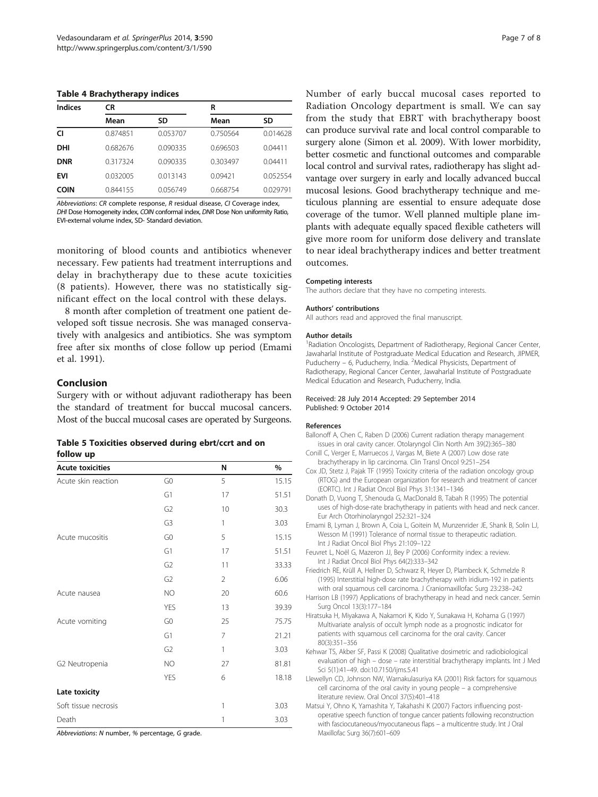#### <span id="page-6-0"></span>Table 4 Brachytherapy indices

| <b>Indices</b> | CR       |          | R        |          |  |
|----------------|----------|----------|----------|----------|--|
|                | Mean     | SD       | Mean     | SD       |  |
| CI             | 0.874851 | 0.053707 | 0.750564 | 0.014628 |  |
| DHI            | 0.682676 | 0.090335 | 0.696503 | 0.04411  |  |
| <b>DNR</b>     | 0.317324 | 0.090335 | 0.303497 | 0.04411  |  |
| <b>EVI</b>     | 0.032005 | 0.013143 | 0.09421  | 0.052554 |  |
| <b>COIN</b>    | 0.844155 | 0.056749 | 0.668754 | 0.029791 |  |

Abbreviations: CR complete response, R residual disease, CI Coverage index, DHI Dose Homogeneity index, COIN conformal index, DNR Dose Non uniformity Ratio, EVI-external volume index, SD- Standard deviation.

monitoring of blood counts and antibiotics whenever necessary. Few patients had treatment interruptions and delay in brachytherapy due to these acute toxicities (8 patients). However, there was no statistically significant effect on the local control with these delays.

8 month after completion of treatment one patient developed soft tissue necrosis. She was managed conservatively with analgesics and antibiotics. She was symptom free after six months of close follow up period (Emami et al. 1991).

#### Conclusion

Surgery with or without adjuvant radiotherapy has been the standard of treatment for buccal mucosal cancers. Most of the buccal mucosal cases are operated by Surgeons.

| Table 5 Toxicities observed during ebrt/ccrt and on |  |  |  |
|-----------------------------------------------------|--|--|--|
| follow up                                           |  |  |  |

| <b>Acute toxicities</b> |                | N              | $\%$  |
|-------------------------|----------------|----------------|-------|
| Acute skin reaction     | G <sub>0</sub> | 5              | 15.15 |
|                         | G1             | 17             | 51.51 |
|                         | G <sub>2</sub> | 10             | 30.3  |
|                         | G <sub>3</sub> | 1              | 3.03  |
| Acute mucositis         | G <sub>0</sub> | 5              | 15.15 |
|                         | G1             | 17             | 51.51 |
|                         | G <sub>2</sub> | 11             | 33.33 |
|                         | G <sub>2</sub> | $\overline{2}$ | 6.06  |
| Acute nausea            | NO             | 20             | 60.6  |
|                         | <b>YES</b>     | 13             | 39.39 |
| Acute vomiting          | G <sub>0</sub> | 25             | 75.75 |
|                         | G1             | $\overline{7}$ | 21.21 |
|                         | G <sub>2</sub> | 1              | 3.03  |
| G2 Neutropenia          | <b>NO</b>      | 27             | 81.81 |
|                         | <b>YES</b>     | 6              | 18.18 |
| Late toxicity           |                |                |       |
| Soft tissue necrosis    |                | 1              | 3.03  |
| Death                   |                | 1              | 3.03  |

Abbreviations: N number, % percentage, G grade.

Number of early buccal mucosal cases reported to Radiation Oncology department is small. We can say from the study that EBRT with brachytherapy boost can produce survival rate and local control comparable to surgery alone (Simon et al. [2009](#page-7-0)). With lower morbidity, better cosmetic and functional outcomes and comparable local control and survival rates, radiotherapy has slight advantage over surgery in early and locally advanced buccal mucosal lesions. Good brachytherapy technique and meticulous planning are essential to ensure adequate dose coverage of the tumor. Well planned multiple plane implants with adequate equally spaced flexible catheters will give more room for uniform dose delivery and translate to near ideal brachytherapy indices and better treatment outcomes.

#### Competing interests

The authors declare that they have no competing interests.

#### Authors' contributions

All authors read and approved the final manuscript.

#### Author details

<sup>1</sup> Radiation Oncologists, Department of Radiotherapy, Regional Cancer Center Jawaharlal Institute of Postgraduate Medical Education and Research, JIPMER, Puducherry - 6, Puducherry, India. <sup>2</sup>Medical Physicists, Department of Radiotherapy, Regional Cancer Center, Jawaharlal Institute of Postgraduate Medical Education and Research, Puducherry, India.

#### Received: 28 July 2014 Accepted: 29 September 2014 Published: 9 October 2014

#### References

- Ballonoff A, Chen C, Raben D (2006) Current radiation therapy management issues in oral cavity cancer. Otolaryngol Clin North Am 39(2):365–380
- Conill C, Verger E, Marruecos J, Vargas M, Biete A (2007) Low dose rate brachytherapy in lip carcinoma. Clin Transl Oncol 9:251–254
- Cox JD, Stetz J, Pajak TF (1995) Toxicity criteria of the radiation oncology group (RTOG) and the European organization for research and treatment of cancer (EORTC). Int J Radiat Oncol Biol Phys 31:1341–1346
- Donath D, Vuong T, Shenouda G, MacDonald B, Tabah R (1995) The potential uses of high-dose-rate brachytherapy in patients with head and neck cancer. Eur Arch Otorhinolaryngol 252:321–324
- Emami B, Lyman J, Brown A, Coia L, Goitein M, Munzenrider JE, Shank B, Solin LJ, Wesson M (1991) Tolerance of normal tissue to therapeutic radiation. Int J Radiat Oncol Biol Phys 21:109–122
- Feuvret L, Noël G, Mazeron JJ, Bey P (2006) Conformity index: a review. Int J Radiat Oncol Biol Phys 64(2):333–342
- Friedrich RE, Krüll A, Hellner D, Schwarz R, Heyer D, Plambeck K, Schmelzle R (1995) Interstitial high-dose rate brachytherapy with iridium-192 in patients with oral squamous cell carcinoma. J Craniomaxillofac Surg 23:238–242
- Harrison LB (1997) Applications of brachytherapy in head and neck cancer. Semin Surg Oncol 13(3):177–184
- Hiratsuka H, Miyakawa A, Nakamori K, Kido Y, Sunakawa H, Kohama G (1997) Multivariate analysis of occult lymph node as a prognostic indicator for patients with squamous cell carcinoma for the oral cavity. Cancer 80(3):351–356
- Kehwar TS, Akber SF, Passi K (2008) Qualitative dosimetric and radiobiological evaluation of high – dose – rate interstitial brachytherapy implants. Int J Med Sci 5(1):41–49. doi:10.7150/ijms.5.41
- Llewellyn CD, Johnson NW, Warnakulasuriya KA (2001) Risk factors for squamous cell carcinoma of the oral cavity in young people – a comprehensive literature review. Oral Oncol 37(5):401–418
- Matsui Y, Ohno K, Yamashita Y, Takahashi K (2007) Factors influencing postoperative speech function of tongue cancer patients following reconstruction with fasciocutaneous/myocutaneous flaps – a multicentre study. Int J Oral Maxillofac Surg 36(7):601–609